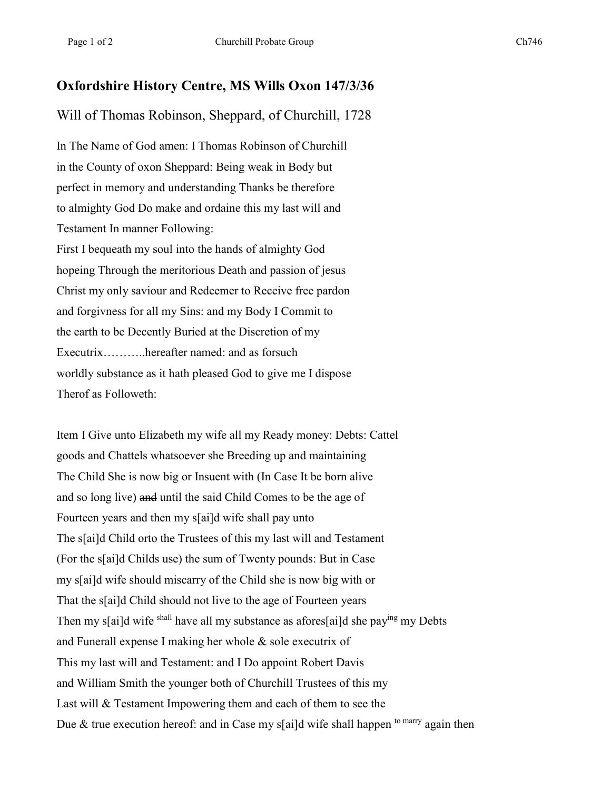## **Oxfordshire History Centre, MS Wills Oxon 147/3/36**

Will of Thomas Robinson, Sheppard, of Churchill, 1728

In The Name of God amen: I Thomas Robinson of Churchill in the County of oxon Sheppard: Being weak in Body but perfect in memory and understanding Thanks be therefore to almighty God Do make and ordaine this my last will and Testament In manner Following: First I bequeath my soul into the hands of almighty God hopeing Through the meritorious Death and passion of jesus Christ my only saviour and Redeemer to Receive free pardon and forgivness for all my Sins: and my Body I Commit to the earth to be Decently Buried at the Discretion of my Executrix………..hereafter named: and as forsuch worldly substance as it hath pleased God to give me I dispose Therof as Followeth:

Item I Give unto Elizabeth my wife all my Ready money: Debts: Cattel goods and Chattels whatsoever she Breeding up and maintaining The Child She is now big or Insuent with (In Case It be born alive and so long live) and until the said Child Comes to be the age of Fourteen years and then my s[ai]d wife shall pay unto The s[ai]d Child orto the Trustees of this my last will and Testament (For the s[ai]d Childs use) the sum of Twenty pounds: But in Case my s[ai]d wife should miscarry of the Child she is now big with or That the s[ai]d Child should not live to the age of Fourteen years Then my s[ai]d wife shall have all my substance as afores[ai]d she paying my Debts and Funerall expense I making her whole & sole executrix of This my last will and Testament: and I Do appoint Robert Davis and William Smith the younger both of Churchill Trustees of this my Last will & Testament Impowering them and each of them to see the Due & true execution hereof: and in Case my s[ai]d wife shall happen <sup>to marry</sup> again then